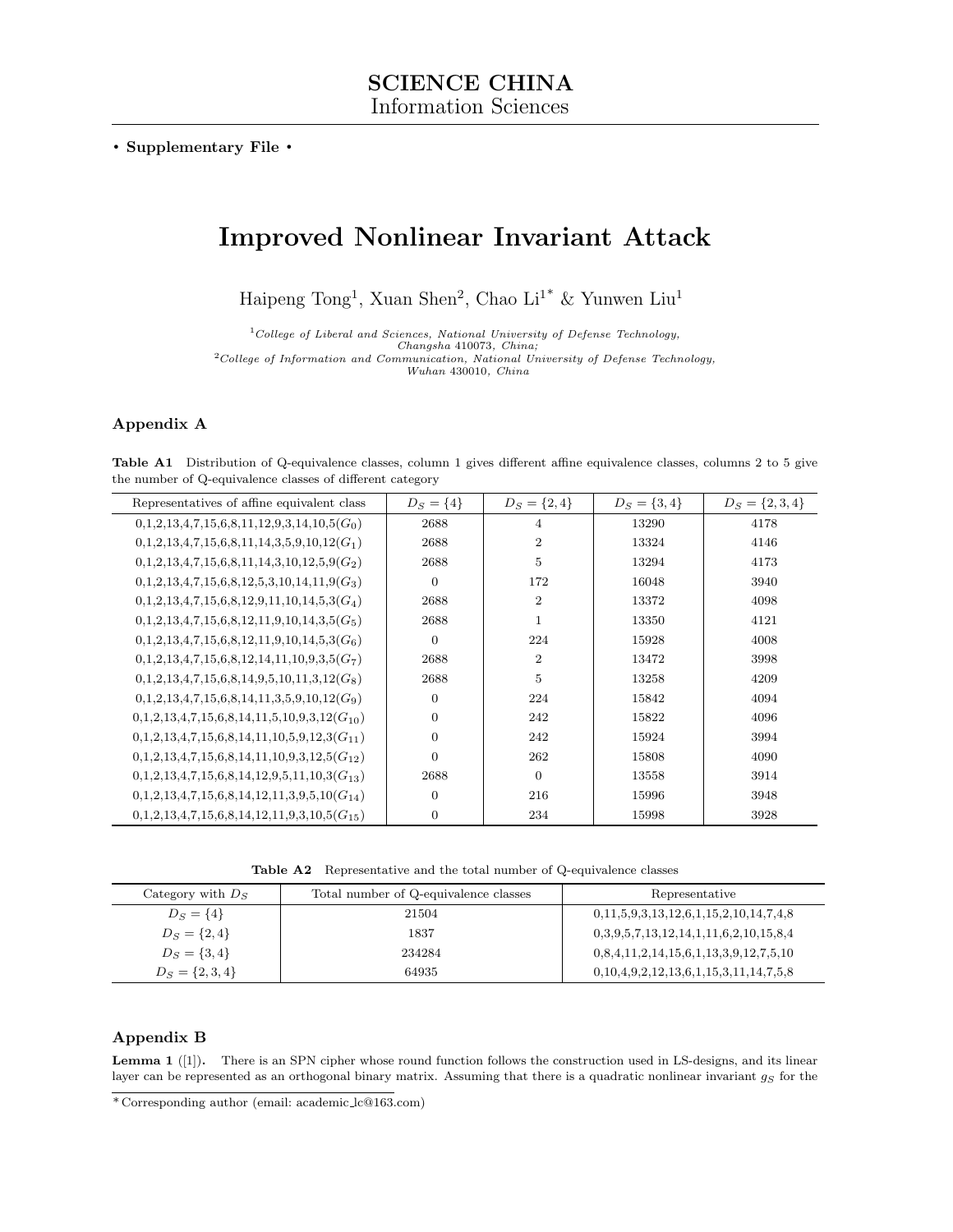. Supplementary File .

## Improved Nonlinear Invariant Attack

Haipeng Tong<sup>1</sup>, Xuan Shen<sup>2</sup>, Chao Li<sup>1\*</sup> & Yunwen Liu<sup>1</sup>

<sup>1</sup>College of Liberal and Sciences, National University of Defense Technology, Changsha 410073, China; <sup>2</sup>College of Information and Communication, National University of Defense Technology, Wuhan 430010, China

## Appendix A

Table A1 Distribution of Q-equivalence classes, column 1 gives different affine equivalence classes, columns 2 to 5 give the number of Q-equivalence classes of different category

| Representatives of affine equivalent class      | $D_S = \{4\}$    | $D_S = \{2, 4\}$ | $D_S = \{3, 4\}$ | $D_S = \{2, 3, 4\}$ |
|-------------------------------------------------|------------------|------------------|------------------|---------------------|
| $0,1,2,13,4,7,15,6,8,11,12,9,3,14,10,5(G0)$     | 2688             | 4                | 13290            | 4178                |
| $0,1,2,13,4,7,15,6,8,11,14,3,5,9,10,12(G_1)$    | 2688             | $\mathbf{2}$     | 13324            | 4146                |
| $0,1,2,13,4,7,15,6,8,11,14,3,10,12,5,9(G2)$     | 2688             | 5                | 13294            | 4173                |
| $0,1,2,13,4,7,15,6,8,12,5,3,10,14,11,9(G_3)$    | $\overline{0}$   | 172              | 16048            | 3940                |
| $0,1,2,13,4,7,15,6,8,12,9,11,10,14,5,3(G4)$     | 2688             | $\mathbf{2}$     | 13372            | 4098                |
| $0,1,2,13,4,7,15,6,8,12,11,9,10,14,3,5(G5)$     | 2688             | 1                | 13350            | 4121                |
| $0,1,2,13,4,7,15,6,8,12,11,9,10,14,5,3(G6)$     | $\overline{0}$   | 224              | 15928            | 4008                |
| $0,1,2,13,4,7,15,6,8,12,14,11,10,9,3,5(G7)$     | 2688             | $\mathbf{2}$     | 13472            | 3998                |
| $0,1,2,13,4,7,15,6,8,14,9,5,10,11,3,12(G8)$     | 2688             | 5                | 13258            | 4209                |
| $0,1,2,13,4,7,15,6,8,14,11,3,5,9,10,12(G9)$     | $\theta$         | 224              | 15842            | 4094                |
| $0,1,2,13,4,7,15,6,8,14,11,5,10,9,3,12(G_{10})$ | $\overline{0}$   | 242              | 15822            | 4096                |
| $0,1,2,13,4,7,15,6,8,14,11,10,5,9,12,3(G_{11})$ | $\overline{0}$   | 242              | 15924            | 3994                |
| $0,1,2,13,4,7,15,6,8,14,11,10,9,3,12,5(G_{12})$ | $\overline{0}$   | 262              | 15808            | 4090                |
| $0,1,2,13,4,7,15,6,8,14,12,9,5,11,10,3(G_{13})$ | 2688             | $\overline{0}$   | 13558            | 3914                |
| $0,1,2,13,4,7,15,6,8,14,12,11,3,9,5,10(G_{14})$ | $\boldsymbol{0}$ | 216              | 15996            | 3948                |
| $0,1,2,13,4,7,15,6,8,14,12,11,9,3,10,5(G_{15})$ | $\overline{0}$   | 234              | 15998            | 3928                |

Table A2 Representative and the total number of Q-equivalence classes

| Category with $DS$  | Total number of Q-equivalence classes | Representative                        |
|---------------------|---------------------------------------|---------------------------------------|
| $D_S = \{4\}$       | 21504                                 | 0,11,5,9,3,13,12,6,1,15,2,10,14,7,4,8 |
| $D_S = \{2, 4\}$    | 1837                                  | 0,3,9,5,7,13,12,14,1,11,6,2,10,15,8,4 |
| $D_S = \{3, 4\}$    | 234284                                | 0,8,4,11,2,14,15,6,1,13,3,9,12,7,5,10 |
| $D_S = \{2, 3, 4\}$ | 64935                                 | 0,10,4,9,2,12,13,6,1,15,3,11,14,7,5,8 |

## Appendix B

Lemma 1 ([\[1\]](#page-2-0)). There is an SPN cipher whose round function follows the construction used in LS-designs, and its linear layer can be represented as an orthogonal binary matrix. Assuming that there is a quadratic nonlinear invariant  $g_S$  for the

<sup>\*</sup> Corresponding author (email: academic lc@163.com)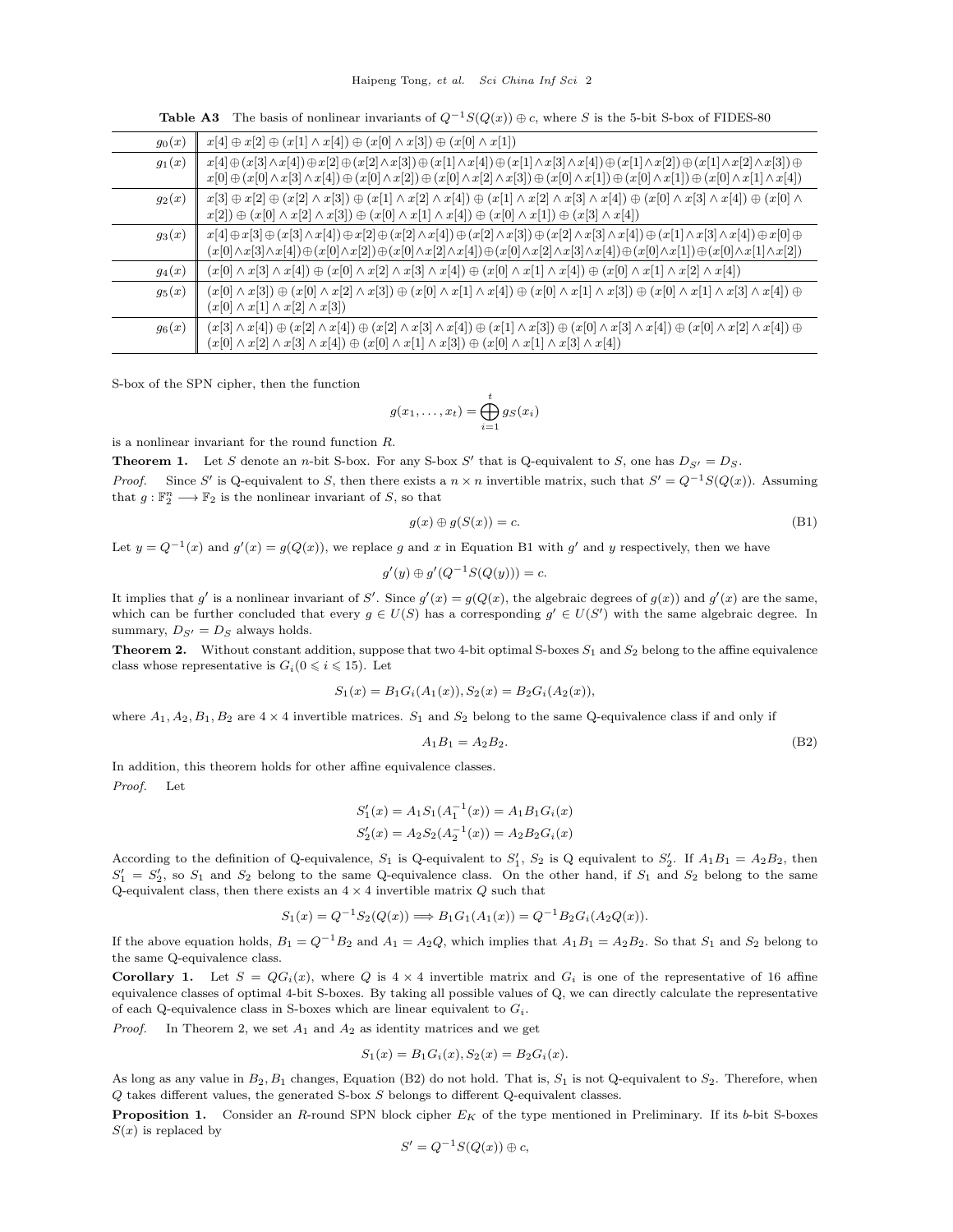**Table A3** The basis of nonlinear invariants of  $Q^{-1}S(Q(x)) \oplus c$ , where S is the 5-bit S-box of FIDES-80

| $g_0(x)$ | $x[4]\oplus x[2]\oplus (x[1]\wedge x[4])\oplus (x[0]\wedge x[3])\oplus (x[0]\wedge x[1])$                                                                                                                                                                                                                                                                                                                                                         |
|----------|---------------------------------------------------------------------------------------------------------------------------------------------------------------------------------------------------------------------------------------------------------------------------------------------------------------------------------------------------------------------------------------------------------------------------------------------------|
| $g_1(x)$ | $x[4]\oplus (x[3]\wedge x[4])\oplus x[2]\oplus (x[2]\wedge x[3])\oplus (x[1]\wedge x[4])\oplus (x[1]\wedge x[3]\wedge x[4])\oplus (x[1]\wedge x[2])\oplus (x[1]\wedge x[2]\wedge x[3])\oplus (x[1]\wedge x[3])\oplus (x[1]\wedge x[3])$<br>$x[0] \oplus (x[0] \wedge x[3] \wedge x[4]) \oplus (x[0] \wedge x[2]) \oplus (x[0] \wedge x[2] \wedge x[3]) \oplus (x[0] \wedge x[1]) \oplus (x[0] \wedge x[1]) \oplus (x[0] \wedge x[1] \wedge x[4])$ |
| $g_2(x)$ | $x[3]\oplus x[2]\oplus (x[2]\wedge x[3])\oplus (x[1]\wedge x[2]\wedge x[4])\oplus (x[1]\wedge x[2]\wedge x[3]\wedge x[4])\oplus (x[0]\wedge x[3]\wedge x[4])\oplus (x[0]\wedge x[4])$<br>$x[2]) \oplus (x[0] \wedge x[2] \wedge x[3]) \oplus (x[0] \wedge x[1] \wedge x[4]) \oplus (x[0] \wedge x[1]) \oplus (x[3] \wedge x[4])$                                                                                                                  |
| $g_3(x)$ | $x[4]\oplus x[3]\oplus (x[3]\wedge x[4])\oplus x[2]\oplus (x[2]\wedge x[4])\oplus (x[2]\wedge x[3])\oplus (x[2]\wedge x[3]\wedge x[4])\oplus (x[1]\wedge x[3]\wedge x[4])\oplus x[0]\oplus x[3]\oplus x[4]$<br>$(x[0]\wedge x[3]\wedge x[4])\oplus (x[0]\wedge x[2])\oplus (x[0]\wedge x[2]\wedge x[4])\oplus (x[0]\wedge x[2]\wedge x[3]\wedge x[4])\oplus (x[0]\wedge x[1])\oplus (x[0]\wedge x[1]\wedge x[2])$                                 |
| $g_4(x)$ | $(x[0] \wedge x[3] \wedge x[4]) \oplus (x[0] \wedge x[2] \wedge x[3] \wedge x[4]) \oplus (x[0] \wedge x[1] \wedge x[4]) \oplus (x[0] \wedge x[1] \wedge x[2] \wedge x[4])$                                                                                                                                                                                                                                                                        |
| $g_5(x)$ | $(x[0] \wedge x[3]) \oplus (x[0] \wedge x[2] \wedge x[3]) \oplus (x[0] \wedge x[1] \wedge x[4]) \oplus (x[0] \wedge x[1] \wedge x[3]) \oplus (x[0] \wedge x[1] \wedge x[3] \wedge x[4]) \oplus (x[0] \wedge x[4])$<br>$(x[0] \wedge x[1] \wedge x[2] \wedge x[3])$                                                                                                                                                                                |
| $g_6(x)$ | $(x[3]\wedge x[4])\oplus (x[2]\wedge x[4])\oplus (x[2]\wedge x[3]\wedge x[4])\oplus (x[1]\wedge x[3])\oplus (x[0]\wedge x[3]\wedge x[4])\oplus (x[0]\wedge x[2]\wedge x[4])\oplus (x[2]\wedge x[4])\oplus (x[3]\wedge x[4])$<br>$(x[0] \wedge x[2] \wedge x[3] \wedge x[4]) \oplus (x[0] \wedge x[1] \wedge x[3]) \oplus (x[0] \wedge x[1] \wedge x[3] \wedge x[4])$                                                                              |

S-box of the SPN cipher, then the function

$$
g(x_1,\ldots,x_t)=\bigoplus_{i=1}^t g_S(x_i)
$$

is a nonlinear invariant for the round function R.

**Theorem 1.** Let S denote an n-bit S-box. For any S-box S' that is Q-equivalent to S, one has  $D_{S'} = D_S$ . *Proof.* Since S' is Q-equivalent to S, then there exists a  $n \times n$  invertible matrix, such that  $S' = Q^{-1}S(Q(x))$ . Assuming that  $g: \mathbb{F}_2^n \longrightarrow \mathbb{F}_2$  is the nonlinear invariant of S, so that

<span id="page-1-0"></span>
$$
g(x) \oplus g(S(x)) = c. \tag{B1}
$$

Let  $y = Q^{-1}(x)$  and  $g'(x) = g(Q(x))$ , we replace g and x in Equation [B1](#page-1-0) with g' and y respectively, then we have

$$
g'(y) \oplus g'(Q^{-1}S(Q(y))) = c.
$$

It implies that g' is a nonlinear invariant of S'. Since  $g'(x) = g(Q(x))$ , the algebraic degrees of  $g(x)$  and  $g'(x)$  are the same, which can be further concluded that every  $g \in U(S)$  has a corresponding  $g' \in U(S')$  with the same algebraic degree. In summary,  $D_{S'} = D_S$  always holds.

<span id="page-1-1"></span>**Theorem 2.** Without constant addition, suppose that two 4-bit optimal S-boxes  $S_1$  and  $S_2$  belong to the affine equivalence class whose representative is  $G_i(0 \leq i \leq 15)$ . Let

$$
S_1(x) = B_1 G_i(A_1(x)), S_2(x) = B_2 G_i(A_2(x)),
$$

where  $A_1, A_2, B_1, B_2$  are  $4 \times 4$  invertible matrices.  $S_1$  and  $S_2$  belong to the same Q-equivalence class if and only if

<span id="page-1-2"></span>
$$
A_1 B_1 = A_2 B_2. \tag{B2}
$$

In addition, this theorem holds for other affine equivalence classes. Proof. Let

$$
S'_1(x) = A_1 S_1(A_1^{-1}(x)) = A_1 B_1 G_i(x)
$$
  

$$
S'_2(x) = A_2 S_2(A_2^{-1}(x)) = A_2 B_2 G_i(x)
$$

According to the definition of Q-equivalence,  $S_1$  is Q-equivalent to  $S'_1$ ,  $S_2$  is Q equivalent to  $S'_2$ . If  $A_1B_1 = A_2B_2$ , then  $S'_1 = S'_2$ , so  $S_1$  and  $S_2$  belong to the same Q-equivalence class. On the other hand, if  $S_1$  and  $S_2$  belong to the same Q-equivalent class, then there exists an  $4 \times 4$  invertible matrix  $Q$  such that

$$
S_1(x) = Q^{-1}S_2(Q(x)) \Longrightarrow B_1G_1(A_1(x)) = Q^{-1}B_2G_i(A_2Q(x)).
$$

If the above equation holds,  $B_1 = Q^{-1}B_2$  and  $A_1 = A_2Q$ , which implies that  $A_1B_1 = A_2B_2$ . So that  $S_1$  and  $S_2$  belong to the same Q-equivalence class.

**Corollary 1.** Let  $S = \mathbb{Q}G_i(x)$ , where Q is  $4 \times 4$  invertible matrix and  $G_i$  is one of the representative of 16 affine equivalence classes of optimal 4-bit S-boxes. By taking all possible values of Q, we can directly calculate the representative of each Q-equivalence class in S-boxes which are linear equivalent to  $G_i$ .

*Proof.* In Theorem [2,](#page-1-1) we set  $A_1$  and  $A_2$  as identity matrices and we get

$$
S_1(x) = B_1 G_i(x), S_2(x) = B_2 G_i(x).
$$

As long as any value in  $B_2, B_1$  changes, Equation [\(B2\)](#page-1-2) do not hold. That is,  $S_1$  is not Q-equivalent to  $S_2$ . Therefore, when Q takes different values, the generated S-box S belongs to different Q-equivalent classes.

**Proposition 1.** Consider an R-round SPN block cipher  $E_K$  of the type mentioned in Preliminary. If its b-bit S-boxes  $S(x)$  is replaced by

$$
S'=Q^{-1}S(Q(x))\oplus c,
$$